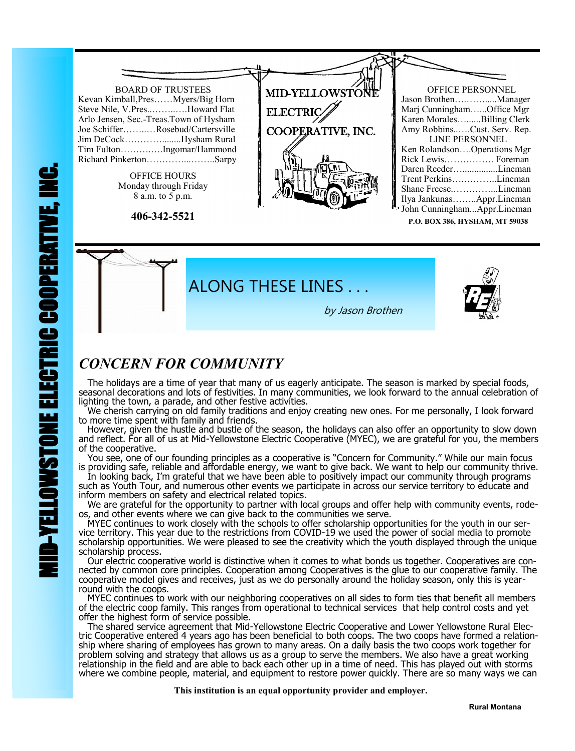

**P.O. BOX 386, HYSHAM, MT 59038**



## *CONCERN FOR COMMUNITY*

 The holidays are a time of year that many of us eagerly anticipate. The season is marked by special foods, seasonal decorations and lots of festivities. In many communities, we look forward to the annual celebration of lighting the town, a parade, and other festive activities.

 We cherish carrying on old family traditions and enjoy creating new ones. For me personally, I look forward to more time spent with family and friends.

 However, given the hustle and bustle of the season, the holidays can also offer an opportunity to slow down and reflect. For all of us at Mid-Yellowstone Electric Cooperative (MYEC), we are grateful for you, the members of the cooperative.

 You see, one of our founding principles as a cooperative is "Concern for Community." While our main focus is providing safe, reliable and affordable energy, we want to give back. We want to help our community thrive.

 In looking back, I'm grateful that we have been able to positively impact our community through programs such as Youth Tour, and numerous other events we participate in across our service territory to educate and inform members on safety and electrical related topics.

 We are grateful for the opportunity to partner with local groups and offer help with community events, rodeos, and other events where we can give back to the communities we serve.

 MYEC continues to work closely with the schools to offer scholarship opportunities for the youth in our service territory. This year due to the restrictions from COVID-19 we used the power of social media to promote scholarship opportunities. We were pleased to see the creativity which the youth displayed through the unique scholarship process.

 Our electric cooperative world is distinctive when it comes to what bonds us together. Cooperatives are connected by common core principles. Cooperation among Cooperatives is the glue to our cooperative family. The cooperative model gives and receives, just as we do personally around the holiday season, only this is yearround with the coops.

 MYEC continues to work with our neighboring cooperatives on all sides to form ties that benefit all members of the electric coop family. This ranges from operational to technical services that help control costs and yet offer the highest form of service possible.

 The shared service agreement that Mid-Yellowstone Electric Cooperative and Lower Yellowstone Rural Electric Cooperative entered 4 years ago has been beneficial to both coops. The two coops have formed a relationship where sharing of employees has grown to many areas. On a daily basis the two coops work together for problem solving and strategy that allows us as a group to serve the members. We also have a great working relationship in the field and are able to back each other up in a time of need. This has played out with storms where we combine people, material, and equipment to restore power quickly. There are so many ways we can

 **This institution is an equal opportunity provider and employer.**